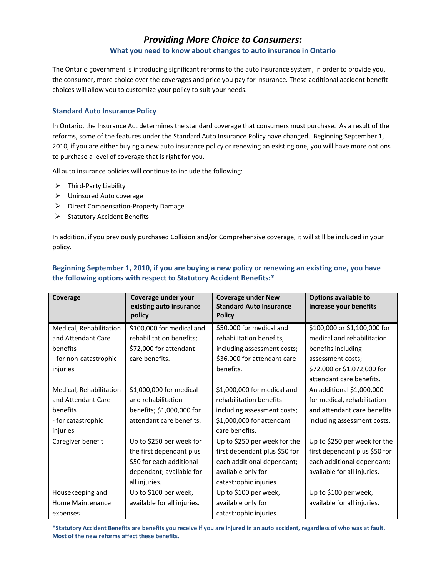# *Providing More Choice to Consumers:* **What you need to know about changes to auto insurance in Ontario**

The Ontario government is introducing significant reforms to the auto insurance system, in order to provide you, the consumer, more choice over the coverages and price you pay for insurance. These additional accident benefit choices will allow you to customize your policy to suit your needs.

### **Standard Auto Insurance Policy**

In Ontario, the Insurance Act determines the standard coverage that consumers must purchase. As a result of the reforms, some of the features under the Standard Auto Insurance Policy have changed. Beginning September 1, 2010, if you are either buying a new auto insurance policy or renewing an existing one, you will have more options to purchase a level of coverage that is right for you.

All auto insurance policies will continue to include the following:

- ¾ Third‐Party Liability
- ¾ Uninsured Auto coverage
- ¾ Direct Compensation‐Property Damage
- $\triangleright$  Statutory Accident Benefits

In addition, if you previously purchased Collision and/or Comprehensive coverage, it will still be included in your policy.

| Coverage                | Coverage under your<br>existing auto insurance<br>policy | <b>Coverage under New</b><br><b>Standard Auto Insurance</b><br><b>Policy</b> | <b>Options available to</b><br>increase your benefits |
|-------------------------|----------------------------------------------------------|------------------------------------------------------------------------------|-------------------------------------------------------|
| Medical, Rehabilitation | \$100,000 for medical and                                | \$50,000 for medical and                                                     | \$100,000 or \$1,100,000 for                          |
| and Attendant Care      | rehabilitation benefits;                                 | rehabilitation benefits,                                                     | medical and rehabilitation                            |
| benefits                | \$72,000 for attendant                                   | including assessment costs;                                                  | benefits including                                    |
| - for non-catastrophic  | care benefits.                                           | \$36,000 for attendant care                                                  | assessment costs;                                     |
| injuries                |                                                          | benefits.                                                                    | \$72,000 or \$1,072,000 for                           |
|                         |                                                          |                                                                              | attendant care benefits.                              |
| Medical, Rehabilitation | \$1,000,000 for medical                                  | \$1,000,000 for medical and                                                  | An additional \$1,000,000                             |
| and Attendant Care      | and rehabilitation                                       | rehabilitation benefits                                                      | for medical, rehabilitation                           |
| benefits                | benefits; \$1,000,000 for                                | including assessment costs;                                                  | and attendant care benefits                           |
| - for catastrophic      | attendant care benefits.                                 | \$1,000,000 for attendant                                                    | including assessment costs.                           |
| injuries                |                                                          | care benefits.                                                               |                                                       |
| Caregiver benefit       | Up to \$250 per week for                                 | Up to \$250 per week for the                                                 | Up to \$250 per week for the                          |
|                         | the first dependant plus                                 | first dependant plus \$50 for                                                | first dependant plus \$50 for                         |
|                         | \$50 for each additional                                 | each additional dependant;                                                   | each additional dependant;                            |
|                         | dependant; available for                                 | available only for                                                           | available for all injuries.                           |
|                         | all injuries.                                            | catastrophic injuries.                                                       |                                                       |
| Housekeeping and        | Up to \$100 per week,                                    | Up to \$100 per week,                                                        | Up to \$100 per week,                                 |
| Home Maintenance        | available for all injuries.                              | available only for                                                           | available for all injuries.                           |
| expenses                |                                                          | catastrophic injuries.                                                       |                                                       |

# **Beginning September 1, 2010, if you are buying a new policy or renewing an existing one, you have the following options with respect to Statutory Accident Benefits:\***

\*Statutory Accident Benefits are benefits you receive if you are injured in an auto accident, regardless of who was at fault. **Most of the new reforms affect these benefits.**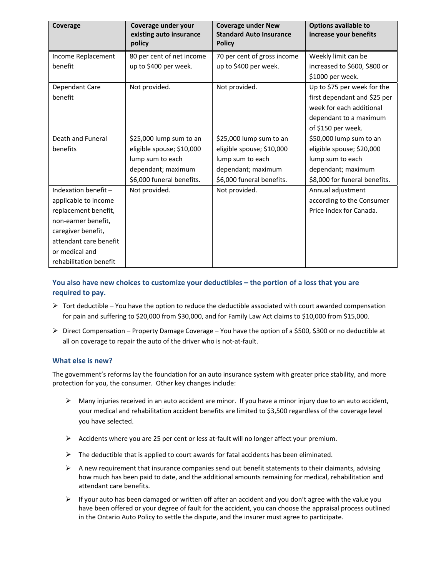| Coverage               | Coverage under your<br>existing auto insurance<br>policy | <b>Coverage under New</b><br><b>Standard Auto Insurance</b><br><b>Policy</b> | Options available to<br>increase your benefits |
|------------------------|----------------------------------------------------------|------------------------------------------------------------------------------|------------------------------------------------|
| Income Replacement     | 80 per cent of net income                                | 70 per cent of gross income                                                  | Weekly limit can be                            |
| benefit                | up to \$400 per week.                                    | up to \$400 per week.                                                        | increased to \$600, \$800 or                   |
|                        |                                                          |                                                                              | \$1000 per week.                               |
| Dependant Care         | Not provided.                                            | Not provided.                                                                | Up to \$75 per week for the                    |
| benefit                |                                                          |                                                                              | first dependant and \$25 per                   |
|                        |                                                          |                                                                              | week for each additional                       |
|                        |                                                          |                                                                              | dependant to a maximum                         |
|                        |                                                          |                                                                              | of \$150 per week.                             |
| Death and Funeral      | \$25,000 lump sum to an                                  | \$25,000 lump sum to an                                                      | \$50,000 lump sum to an                        |
| benefits               | eligible spouse; \$10,000                                | eligible spouse; \$10,000                                                    | eligible spouse; \$20,000                      |
|                        | lump sum to each                                         | lump sum to each                                                             | lump sum to each                               |
|                        | dependant; maximum                                       | dependant; maximum                                                           | dependant; maximum                             |
|                        | \$6,000 funeral benefits.                                | \$6,000 funeral benefits.                                                    | \$8,000 for funeral benefits.                  |
| Indexation benefit -   | Not provided.                                            | Not provided.                                                                | Annual adjustment                              |
| applicable to income   |                                                          |                                                                              | according to the Consumer                      |
| replacement benefit,   |                                                          |                                                                              | Price Index for Canada.                        |
| non-earner benefit,    |                                                          |                                                                              |                                                |
| caregiver benefit,     |                                                          |                                                                              |                                                |
| attendant care benefit |                                                          |                                                                              |                                                |
| or medical and         |                                                          |                                                                              |                                                |
| rehabilitation benefit |                                                          |                                                                              |                                                |

## **You also have new choices to customize your deductibles – the portion of a loss that you are required to pay.**

- $\triangleright$  Tort deductible You have the option to reduce the deductible associated with court awarded compensation for pain and suffering to \$20,000 from \$30,000, and for Family Law Act claims to \$10,000 from \$15,000.
- $\triangleright$  Direct Compensation Property Damage Coverage You have the option of a \$500, \$300 or no deductible at all on coverage to repair the auto of the driver who is not‐at‐fault.

### **What else is new?**

The government's reforms lay the foundation for an auto insurance system with greater price stability, and more protection for you, the consumer. Other key changes include:

- $\triangleright$  Many injuries received in an auto accident are minor. If you have a minor injury due to an auto accident, your medical and rehabilitation accident benefits are limited to \$3,500 regardless of the coverage level you have selected.
- $\triangleright$  Accidents where you are 25 per cent or less at-fault will no longer affect your premium.
- $\triangleright$  The deductible that is applied to court awards for fatal accidents has been eliminated.
- $\triangleright$  A new requirement that insurance companies send out benefit statements to their claimants, advising how much has been paid to date, and the additional amounts remaining for medical, rehabilitation and attendant care benefits.
- $\triangleright$  If your auto has been damaged or written off after an accident and you don't agree with the value you have been offered or your degree of fault for the accident, you can choose the appraisal process outlined in the Ontario Auto Policy to settle the dispute, and the insurer must agree to participate.